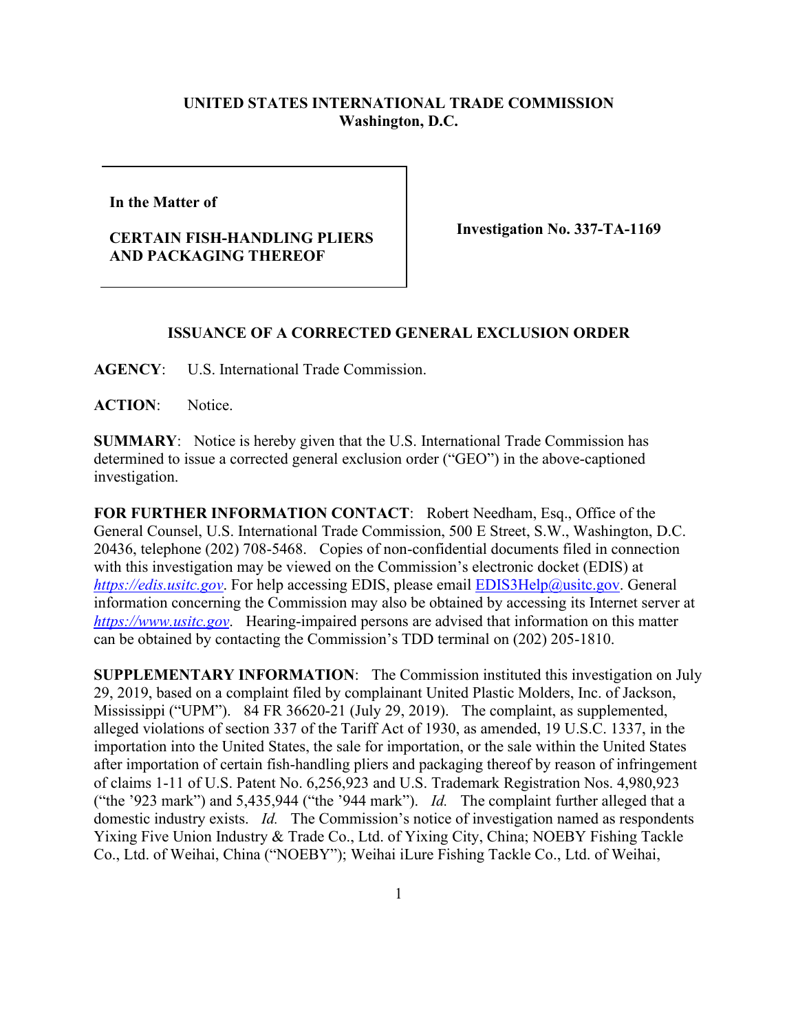## **UNITED STATES INTERNATIONAL TRADE COMMISSION Washington, D.C.**

**In the Matter of** 

## **CERTAIN FISH-HANDLING PLIERS AND PACKAGING THEREOF**

**Investigation No. 337-TA-1169**

## **ISSUANCE OF A CORRECTED GENERAL EXCLUSION ORDER**

**AGENCY**: U.S. International Trade Commission.

**ACTION**: Notice.

**SUMMARY**: Notice is hereby given that the U.S. International Trade Commission has determined to issue a corrected general exclusion order ("GEO") in the above-captioned investigation.

**FOR FURTHER INFORMATION CONTACT**: Robert Needham, Esq., Office of the General Counsel, U.S. International Trade Commission, 500 E Street, S.W., Washington, D.C. 20436, telephone (202) 708-5468. Copies of non-confidential documents filed in connection with this investigation may be viewed on the Commission's electronic docket (EDIS) at *[https://edis.usitc.gov](https://edis.usitc.gov/)*. For help accessing EDIS, please email [EDIS3Help@usitc.gov.](mailto:EDIS3Help@usitc.gov) General information concerning the Commission may also be obtained by accessing its Internet server at *[https://www.usitc.gov](https://www.usitc.gov/)*. Hearing-impaired persons are advised that information on this matter can be obtained by contacting the Commission's TDD terminal on (202) 205-1810.

**SUPPLEMENTARY INFORMATION**: The Commission instituted this investigation on July 29, 2019, based on a complaint filed by complainant United Plastic Molders, Inc. of Jackson, Mississippi ("UPM"). 84 FR 36620-21 (July 29, 2019). The complaint, as supplemented, alleged violations of section 337 of the Tariff Act of 1930, as amended, 19 U.S.C. 1337, in the importation into the United States, the sale for importation, or the sale within the United States after importation of certain fish-handling pliers and packaging thereof by reason of infringement of claims 1-11 of U.S. Patent No. 6,256,923 and U.S. Trademark Registration Nos. 4,980,923 ("the '923 mark") and 5,435,944 ("the '944 mark"). *Id.* The complaint further alleged that a domestic industry exists. *Id.* The Commission's notice of investigation named as respondents Yixing Five Union Industry & Trade Co., Ltd. of Yixing City, China; NOEBY Fishing Tackle Co., Ltd. of Weihai, China ("NOEBY"); Weihai iLure Fishing Tackle Co., Ltd. of Weihai,